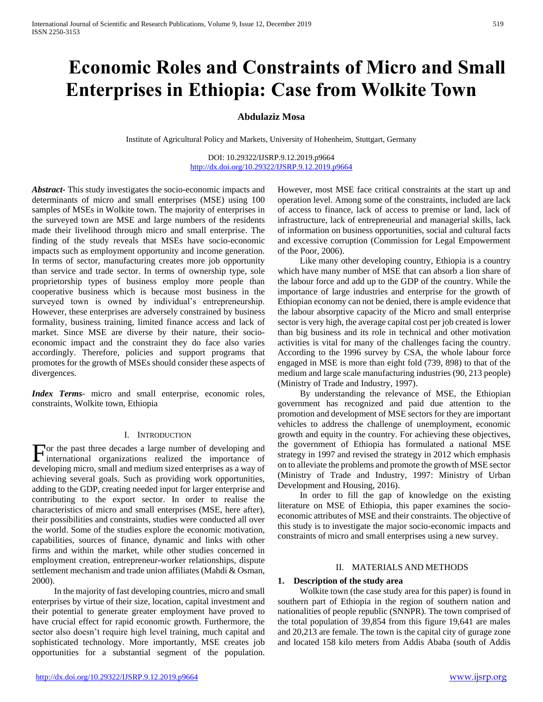# **Economic Roles and Constraints of Micro and Small Enterprises in Ethiopia: Case from Wolkite Town**

# **Abdulaziz Mosa**

Institute of Agricultural Policy and Markets, University of Hohenheim, Stuttgart, Germany

DOI: 10.29322/IJSRP.9.12.2019.p9664 <http://dx.doi.org/10.29322/IJSRP.9.12.2019.p9664>

*Abstract***-** This study investigates the socio-economic impacts and determinants of micro and small enterprises (MSE) using 100 samples of MSEs in Wolkite town. The majority of enterprises in the surveyed town are MSE and large numbers of the residents made their livelihood through micro and small enterprise. The finding of the study reveals that MSEs have socio-economic impacts such as employment opportunity and income generation. In terms of sector, manufacturing creates more job opportunity than service and trade sector. In terms of ownership type, sole proprietorship types of business employ more people than cooperative business which is because most business in the surveyed town is owned by individual's entrepreneurship. However, these enterprises are adversely constrained by business formality, business training, limited finance access and lack of market. Since MSE are diverse by their nature, their socioeconomic impact and the constraint they do face also varies accordingly. Therefore, policies and support programs that promotes for the growth of MSEs should consider these aspects of divergences.

*Index Terms*- micro and small enterprise, economic roles, constraints, Wolkite town, Ethiopia

#### I. INTRODUCTION

For the past three decades a large number of developing and international organizations realized the importance of international organizations realized the importance of developing micro, small and medium sized enterprises as a way of achieving several goals. Such as providing work opportunities, adding to the GDP, creating needed input for larger enterprise and contributing to the export sector. In order to realise the characteristics of micro and small enterprises (MSE, here after), their possibilities and constraints, studies were conducted all over the world. Some of the studies explore the economic motivation, capabilities, sources of finance, dynamic and links with other firms and within the market, while other studies concerned in employment creation, entrepreneur-worker relationships, dispute settlement mechanism and trade union affiliates (Mahdi & Osman, 2000).

 In the majority of fast developing countries, micro and small enterprises by virtue of their size, location, capital investment and their potential to generate greater employment have proved to have crucial effect for rapid economic growth. Furthermore, the sector also doesn't require high level training, much capital and sophisticated technology. More importantly, MSE creates job opportunities for a substantial segment of the population.

However, most MSE face critical constraints at the start up and operation level. Among some of the constraints, included are lack of access to finance, lack of access to premise or land, lack of infrastructure, lack of entrepreneurial and managerial skills, lack of information on business opportunities, social and cultural facts and excessive corruption (Commission for Legal Empowerment of the Poor, 2006).

 Like many other developing country, Ethiopia is a country which have many number of MSE that can absorb a lion share of the labour force and add up to the GDP of the country. While the importance of large industries and enterprise for the growth of Ethiopian economy can not be denied, there is ample evidence that the labour absorptive capacity of the Micro and small enterprise sector is very high, the average capital cost per job created is lower than big business and its role in technical and other motivation activities is vital for many of the challenges facing the country. According to the 1996 survey by CSA, the whole labour force engaged in MSE is more than eight fold (739, 898) to that of the medium and large scale manufacturing industries (90, 213 people) (Ministry of Trade and Industry, 1997).

 By understanding the relevance of MSE, the Ethiopian government has recognized and paid due attention to the promotion and development of MSE sectors for they are important vehicles to address the challenge of unemployment, economic growth and equity in the country. For achieving these objectives, the government of Ethiopia has formulated a national MSE strategy in 1997 and revised the strategy in 2012 which emphasis on to alleviate the problems and promote the growth of MSE sector (Ministry of Trade and Industry, 1997: Ministry of Urban Development and Housing, 2016).

 In order to fill the gap of knowledge on the existing literature on MSE of Ethiopia, this paper examines the socioeconomic attributes of MSE and their constraints. The objective of this study is to investigate the major socio-economic impacts and constraints of micro and small enterprises using a new survey.

#### II. MATERIALS AND METHODS

#### **1. Description of the study area**

 Wolkite town (the case study area for this paper) is found in southern part of Ethiopia in the region of southern nation and nationalities of people republic (SNNPR). The town comprised of the total population of 39,854 from this figure 19,641 are males and 20,213 are female. The town is the capital city of gurage zone and located 158 kilo meters from Addis Ababa (south of Addis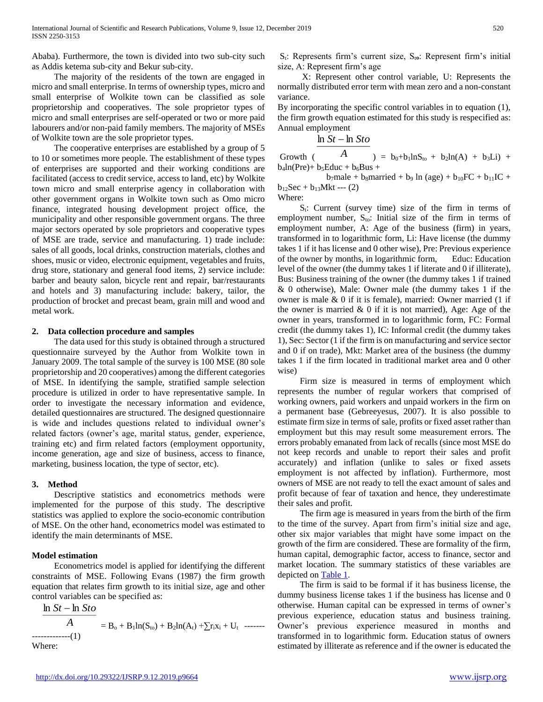Ababa). Furthermore, the town is divided into two sub-city such as Addis ketema sub-city and Bekur sub-city.

 The majority of the residents of the town are engaged in micro and small enterprise. In terms of ownership types, micro and small enterprise of Wolkite town can be classified as sole proprietorship and cooperatives. The sole proprietor types of micro and small enterprises are self-operated or two or more paid labourers and/or non-paid family members. The majority of MSEs of Wolkite town are the sole proprietor types.

 The cooperative enterprises are established by a group of 5 to 10 or sometimes more people. The establishment of these types of enterprises are supported and their working conditions are facilitated (access to credit service, access to land, etc) by Wolkite town micro and small enterprise agency in collaboration with other government organs in Wolkite town such as Omo micro finance, integrated housing development project office, the municipality and other responsible government organs. The three major sectors operated by sole proprietors and cooperative types of MSE are trade, service and manufacturing. 1) trade include: sales of all goods, local drinks, construction materials, clothes and shoes, music or video, electronic equipment, vegetables and fruits, drug store, stationary and general food items, 2) service include: barber and beauty salon, bicycle rent and repair, bar/restaurants and hotels and 3) manufacturing include: bakery, tailor, the production of brocket and precast beam, grain mill and wood and metal work.

#### **2. Data collection procedure and samples**

 The data used for this study is obtained through a structured questionnaire surveyed by the Author from Wolkite town in January 2009. The total sample of the survey is 100 MSE (80 sole proprietorship and 20 cooperatives) among the different categories of MSE. In identifying the sample, stratified sample selection procedure is utilized in order to have representative sample. In order to investigate the necessary information and evidence, detailed questionnaires are structured. The designed questionnaire is wide and includes questions related to individual owner's related factors (owner's age, marital status, gender, experience, training etc) and firm related factors (employment opportunity, income generation, age and size of business, access to finance, marketing, business location, the type of sector, etc).

#### **3. Method**

 Descriptive statistics and econometrics methods were implemented for the purpose of this study. The descriptive statistics was applied to explore the socio-economic contribution of MSE. On the other hand, econometrics model was estimated to identify the main determinants of MSE.

#### **Model estimation**

 Econometrics model is applied for identifying the different constraints of MSE. Following Evans (1987) the firm growth equation that relates firm growth to its initial size, age and other control variables can be specified as:

*<sup>A</sup>*  $\ln St - \ln St$  $= B_0 + B_1 \ln(S_{\text{to}}) + B_2 \ln(A_{\text{t}}) + \sum r_i x_i + U_{\text{t}}$  --------------------(1) Where:

 $S_t$ : Represents firm's current size,  $S_{t0}$ : Represent firm's initial size, A: Represent firm's age

 X: Represent other control variable, U: Represents the normally distributed error term with mean zero and a non-constant variance.

By incorporating the specific control variables in to equation (1), the firm growth equation estimated for this study is respecified as: Annual employment

$$
\ln St - \ln Sto
$$

Growth ( *A* ) =  $b_0 + b_1 \ln S_{t_0} + b_2 \ln(A) + b_3 \ln(A) + b_4 \ln(A)$  $b_4$ ln(Pre)+  $b_5$ Educ +  $b_6$ Bus +

 $b_7$ male +  $b_8$ married +  $b_9$  ln (age) +  $b_{10}$ FC +  $b_{11}$ IC +  $b_{12}$ Sec +  $b_{13}$ Mkt --- (2)

Where:

 $S_t$ : Current (survey time) size of the firm in terms of employment number,  $S_{to}$ : Initial size of the firm in terms of employment number, A: Age of the business (firm) in years, transformed in to logarithmic form, Li: Have license (the dummy takes 1 if it has license and 0 other wise), Pre: Previous experience of the owner by months, in logarithmic form,Educ: Education level of the owner (the dummy takes 1 if literate and 0 if illiterate), Bus: Business training of the owner (the dummy takes 1 if trained & 0 otherwise), Male: Owner male (the dummy takes 1 if the owner is male & 0 if it is female), married: Owner married (1 if the owner is married  $& 0$  if it is not married), Age: Age of the owner in years, transformed in to logarithmic form, FC: Formal credit (the dummy takes 1), IC: Informal credit (the dummy takes 1), Sec: Sector (1 if the firm is on manufacturing and service sector and 0 if on trade), Mkt: Market area of the business (the dummy takes 1 if the firm located in traditional market area and 0 other wise)

 Firm size is measured in terms of employment which represents the number of regular workers that comprised of working owners, paid workers and unpaid workers in the firm on a permanent base (Gebreeyesus, 2007). It is also possible to estimate firm size in terms of sale, profits or fixed asset rather than employment but this may result some measurement errors. The errors probably emanated from lack of recalls (since most MSE do not keep records and unable to report their sales and profit accurately) and inflation (unlike to sales or fixed assets employment is not affected by inflation). Furthermore, most owners of MSE are not ready to tell the exact amount of sales and profit because of fear of taxation and hence, they underestimate their sales and profit.

 The firm age is measured in years from the birth of the firm to the time of the survey. Apart from firm's initial size and age, other six major variables that might have some impact on the growth of the firm are considered. These are formality of the firm, human capital, demographic factor, access to finance, sector and market location. The summary statistics of these variables are depicted on [Table 1.](#page-2-0)

 The firm is said to be formal if it has business license, the dummy business license takes 1 if the business has license and 0 otherwise. Human capital can be expressed in terms of owner's previous experience, education status and business training. Owner's previous experience measured in months and transformed in to logarithmic form. Education status of owners estimated by illiterate as reference and if the owner is educated the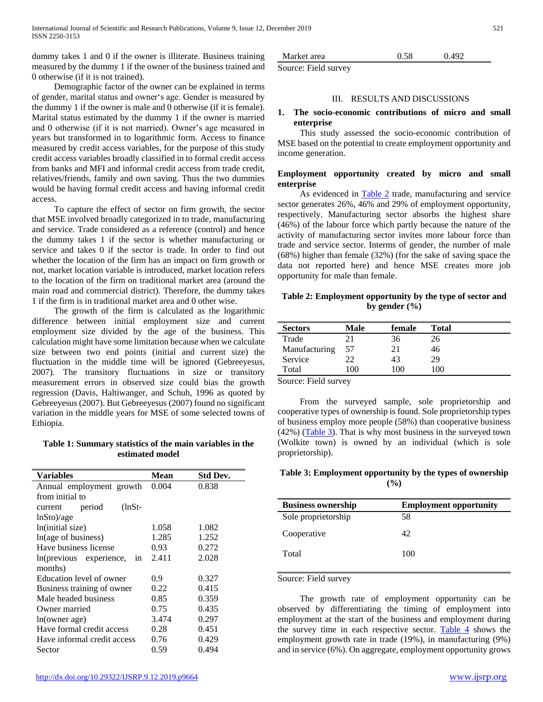dummy takes 1 and 0 if the owner is illiterate. Business training measured by the dummy 1 if the owner of the business trained and 0 otherwise (if it is not trained).

 Demographic factor of the owner can be explained in terms of gender, marital status and owner's age. Gender is measured by the dummy 1 if the owner is male and 0 otherwise (if it is female). Marital status estimated by the dummy 1 if the owner is married and 0 otherwise (if it is not married). Owner's age measured in years but transformed in to logarithmic form. Access to finance measured by credit access variables, for the purpose of this study credit access variables broadly classified in to formal credit access from banks and MFI and informal credit access from trade credit, relatives/friends, family and own saving. Thus the two dummies would be having formal credit access and having informal credit access.

 To capture the effect of sector on firm growth, the sector that MSE involved broadly categorized in to trade, manufacturing and service. Trade considered as a reference (control) and hence the dummy takes 1 if the sector is whether manufacturing or service and takes 0 if the sector is trade. In order to find out whether the location of the firm has an impact on firm growth or not, market location variable is introduced, market location refers to the location of the firm on traditional market area (around the main road and commercial district). Therefore, the dummy takes 1 if the firm is in traditional market area and 0 other wise.

 The growth of the firm is calculated as the logarithmic difference between initial employment size and current employment size divided by the age of the business. This calculation might have some limitation because when we calculate size between two end points (initial and current size) the fluctuation in the middle time will be ignored (Gebreeyesus, 2007). The transitory fluctuations in size or transitory measurement errors in observed size could bias the growth regression (Davis, Haltiwanger, and Schuh, 1996 as quoted by Gebreeyesus (2007). But Gebreeyesus (2007) found no significant variation in the middle years for MSE of some selected towns of Ethiopia.

#### <span id="page-2-0"></span>**Table 1: Summary statistics of the main variables in the estimated model**

| Variables                     | Mean  | <b>Std Dev.</b> |  |  |
|-------------------------------|-------|-----------------|--|--|
| Annual employment growth      | 0.004 | 0.838           |  |  |
| from initial to               |       |                 |  |  |
| period<br>(lnSt-<br>current   |       |                 |  |  |
| $lnSto$ /age                  |       |                 |  |  |
| ln(initial size)              | 1.058 | 1.082           |  |  |
| In(age of business)           | 1.285 | 1.252           |  |  |
| Have business license         | 0.93  | 0.272           |  |  |
| In(previous experience,<br>1n | 2.411 | 2.028           |  |  |
| months)                       |       |                 |  |  |
| Education level of owner      | 0.9   | 0.327           |  |  |
| Business training of owner    | 0.22  | 0.415           |  |  |
| Male headed business          | 0.85  | 0.359           |  |  |
| Owner married                 | 0.75  | 0.435           |  |  |
| ln(owner age)                 | 3.474 | 0.297           |  |  |
| Have formal credit access     | 0.28  | 0.451           |  |  |
| Have informal credit access   | 0.76  | 0.429           |  |  |
| Sector                        | 0.59  | 0.494           |  |  |

Market area  $0.58$  0.492 Source: Field survey

#### III. RESULTS AND DISCUSSIONS

#### **1. The socio-economic contributions of micro and small enterprise**

 This study assessed the socio-economic contribution of MSE based on the potential to create employment opportunity and income generation.

#### **Employment opportunity created by micro and small enterprise**

As evidenced in **Table 2** trade, manufacturing and service sector generates 26%, 46% and 29% of employment opportunity, respectively. Manufacturing sector absorbs the highest share (46%) of the labour force which partly because the nature of the activity of manufacturing sector invites more labour force than trade and service sector. Interms of gender, the number of male (68%) higher than female (32%) (for the sake of saving space the data not reported here) and hence MSE creates more job opportunity for male than female.

<span id="page-2-1"></span>**Table 2: Employment opportunity by the type of sector and by gender (%)**

| <b>Sectors</b> | Male           | female | Total  |  |
|----------------|----------------|--------|--------|--|
| Trade          | າ1             | 36     | 26     |  |
| Manufacturing  | 57             | 21     | 46     |  |
| Service        | າາ             | 43     | 29     |  |
| Total          | 0 <sup>0</sup> | 100    | I ()() |  |

Source: Field survey

 From the surveyed sample, sole proprietorship and cooperative types of ownership is found. Sole proprietorship types of business employ more people (58%) than cooperative business  $(42%)$  [\(Table 3\)](#page-2-2). That is why most business in the surveyed town (Wolkite town) is owned by an individual (which is sole proprietorship).

## <span id="page-2-2"></span>**Table 3: Employment opportunity by the types of ownership (%)**

| <b>Business ownership</b> | <b>Employment opportunity</b> |
|---------------------------|-------------------------------|
| Sole proprietorship       | 58                            |
| Cooperative               | 42                            |
| Total                     | 100                           |

Source: Field survey

 The growth rate of employment opportunity can be observed by differentiating the timing of employment into employment at the start of the business and employment during the survey time in each respective sector. [Table 4](#page-3-0) shows the employment growth rate in trade (19%), in manufacturing (9%) and in service (6%). On aggregate, employment opportunity grows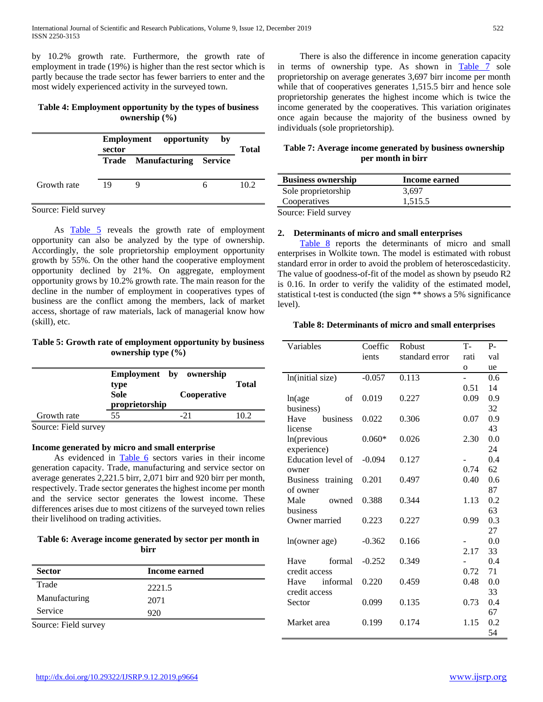by 10.2% growth rate. Furthermore, the growth rate of employment in trade (19%) is higher than the rest sector which is partly because the trade sector has fewer barriers to enter and the most widely experienced activity in the surveyed town.

#### <span id="page-3-0"></span>**Table 4: Employment opportunity by the types of business ownership (%)**

|             | <b>Employment</b> opportunity<br>sector |                                    | bv | <b>Total</b> |
|-------------|-----------------------------------------|------------------------------------|----|--------------|
|             |                                         | <b>Trade Manufacturing Service</b> |    |              |
| Growth rate | 19                                      |                                    |    | 10.2         |

Source: Field survey

As **[Table 5](#page-3-1)** reveals the growth rate of employment opportunity can also be analyzed by the type of ownership. Accordingly, the sole proprietorship employment opportunity growth by 55%. On the other hand the cooperative employment opportunity declined by 21%. On aggregate, employment opportunity grows by 10.2% growth rate. The main reason for the decline in the number of employment in cooperatives types of business are the conflict among the members, lack of market access, shortage of raw materials, lack of managerial know how (skill), etc.

#### <span id="page-3-1"></span>**Table 5: Growth rate of employment opportunity by business ownership type (%)**

|               | type<br><b>Sole</b><br>proprietorship | Employment by ownership<br>Cooperative | <b>Total</b> |
|---------------|---------------------------------------|----------------------------------------|--------------|
| Growth rate   | 55                                    |                                        | 10.2         |
| ---<br>$\sim$ |                                       |                                        |              |

Source: Field survey

#### **Income generated by micro and small enterprise**

As evidenced in [Table 6](#page-3-2) sectors varies in their income generation capacity. Trade, manufacturing and service sector on average generates 2,221.5 birr, 2,071 birr and 920 birr per month, respectively. Trade sector generates the highest income per month and the service sector generates the lowest income. These differences arises due to most citizens of the surveyed town relies their livelihood on trading activities.

## <span id="page-3-2"></span>**Table 6: Average income generated by sector per month in birr**

| <b>Sector</b> | Income earned |  |
|---------------|---------------|--|
| Trade         | 2221.5        |  |
| Manufacturing | 2071          |  |
| Service       | 920           |  |

 There is also the difference in income generation capacity in terms of ownership type. As shown in [Table 7](#page-3-3) sole proprietorship on average generates 3,697 birr income per month while that of cooperatives generates 1,515.5 birr and hence sole proprietorship generates the highest income which is twice the income generated by the cooperatives. This variation originates once again because the majority of the business owned by individuals (sole proprietorship).

## <span id="page-3-3"></span>**Table 7: Average income generated by business ownership per month in birr**

| <b>Business ownership</b> | Income earned |
|---------------------------|---------------|
| Sole proprietorship       | 3.697         |
| Cooperatives              | 1,515.5       |
| $\sim$<br><b>T.II</b>     |               |

Source: Field survey

#### **2. Determinants of micro and small enterprises**

[Table 8](#page-3-4) reports the determinants of micro and small enterprises in Wolkite town. The model is estimated with robust standard error in order to avoid the problem of heteroscedasticity. The value of goodness-of-fit of the model as shown by pseudo R2 is 0.16. In order to verify the validity of the estimated model, statistical t-test is conducted (the sign \*\* shows a 5% significance level).

#### <span id="page-3-4"></span>**Table 8: Determinants of micro and small enterprises**

| Variables                   | Coeffic  | Robust         | $T -$        | $P-$ |
|-----------------------------|----------|----------------|--------------|------|
|                             | ients    | standard error | rati         | val  |
|                             |          |                | $\mathbf{o}$ | ue   |
| ln(initial size)            | $-0.057$ | 0.113          | -            | 0.6  |
|                             |          |                | 0.51         | 14   |
| ln(age<br>of                | 0.019    | 0.227          | 0.09         | 0.9  |
| business)                   |          |                |              | 32   |
| Have<br>business            | 0.022    | 0.306          | 0.07         | 0.9  |
| license                     |          |                |              | 43   |
| In(previous                 | $0.060*$ | 0.026          | 2.30         | 0.0  |
| experience)                 |          |                |              | 24   |
| Education level of          | $-0.094$ | 0.127          |              | 0.4  |
| owner                       |          |                | 0.74         | 62   |
| <b>Business</b><br>training | 0.201    | 0.497          | 0.40         | 0.6  |
| of owner                    |          |                |              | 87   |
| Male<br>owned               | 0.388    | 0.344          | 1.13         | 0.2  |
| business                    |          |                |              | 63   |
| Owner married               | 0.223    | 0.227          | 0.99         | 0.3  |
|                             |          |                |              | 27   |
| ln(owner age)               | $-0.362$ | 0.166          |              | 0.0  |
|                             |          |                | 2.17         | 33   |
| formal<br>Have              | $-0.252$ | 0.349          |              | 0.4  |
| credit access               |          |                | 0.72         | 71   |
| informal<br>Have            | 0.220    | 0.459          | 0.48         | 0.0  |
| credit access               |          |                |              | 33   |
| Sector                      | 0.099    | 0.135          | 0.73         | 0.4  |
|                             |          |                |              | 67   |
| Market area                 | 0.199    | 0.174          | 1.15         | 0.2  |
|                             |          |                |              | 54   |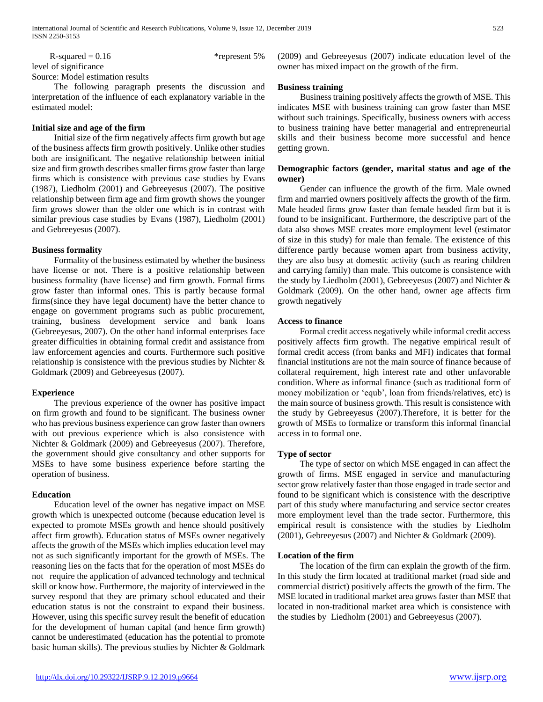$R$ -squared = 0.16 \*represent 5% level of significance Source: Model estimation results

 The following paragraph presents the discussion and interpretation of the influence of each explanatory variable in the estimated model:

#### **Initial size and age of the firm**

 Initial size of the firm negatively affects firm growth but age of the business affects firm growth positively. Unlike other studies both are insignificant. The negative relationship between initial size and firm growth describes smaller firms grow faster than large firms which is consistence with previous case studies by Evans (1987), Liedholm (2001) and Gebreeyesus (2007). The positive relationship between firm age and firm growth shows the younger firm grows slower than the older one which is in contrast with similar previous case studies by Evans (1987), Liedholm (2001) and Gebreeyesus (2007).

#### **Business formality**

 Formality of the business estimated by whether the business have license or not. There is a positive relationship between business formality (have license) and firm growth. Formal firms grow faster than informal ones. This is partly because formal firms(since they have legal document) have the better chance to engage on government programs such as public procurement, training, business development service and bank loans (Gebreeyesus, 2007). On the other hand informal enterprises face greater difficulties in obtaining formal credit and assistance from law enforcement agencies and courts. Furthermore such positive relationship is consistence with the previous studies by Nichter & Goldmark (2009) and Gebreeyesus (2007).

# **Experience**

 The previous experience of the owner has positive impact on firm growth and found to be significant. The business owner who has previous business experience can grow faster than owners with out previous experience which is also consistence with Nichter & Goldmark (2009) and Gebreeyesus (2007). Therefore, the government should give consultancy and other supports for MSEs to have some business experience before starting the operation of business.

# **Education**

 Education level of the owner has negative impact on MSE growth which is unexpected outcome (because education level is expected to promote MSEs growth and hence should positively affect firm growth). Education status of MSEs owner negatively affects the growth of the MSEs which implies education level may not as such significantly important for the growth of MSEs. The reasoning lies on the facts that for the operation of most MSEs do not require the application of advanced technology and technical skill or know how. Furthermore, the majority of interviewed in the survey respond that they are primary school educated and their education status is not the constraint to expand their business. However, using this specific survey result the benefit of education for the development of human capital (and hence firm growth) cannot be underestimated (education has the potential to promote basic human skills). The previous studies by Nichter & Goldmark (2009) and Gebreeyesus (2007) indicate education level of the owner has mixed impact on the growth of the firm.

## **Business training**

 Business training positively affects the growth of MSE. This indicates MSE with business training can grow faster than MSE without such trainings. Specifically, business owners with access to business training have better managerial and entrepreneurial skills and their business become more successful and hence getting grown.

# **Demographic factors (gender, marital status and age of the owner)**

 Gender can influence the growth of the firm. Male owned firm and married owners positively affects the growth of the firm. Male headed firms grow faster than female headed firm but it is found to be insignificant. Furthermore, the descriptive part of the data also shows MSE creates more employment level (estimator of size in this study) for male than female. The existence of this difference partly because women apart from business activity, they are also busy at domestic activity (such as rearing children and carrying family) than male. This outcome is consistence with the study by Liedholm (2001), Gebreeyesus (2007) and Nichter & Goldmark (2009). On the other hand, owner age affects firm growth negatively

# **Access to finance**

 Formal credit access negatively while informal credit access positively affects firm growth. The negative empirical result of formal credit access (from banks and MFI) indicates that formal financial institutions are not the main source of finance because of collateral requirement, high interest rate and other unfavorable condition. Where as informal finance (such as traditional form of money mobilization or 'equb', loan from friends/relatives, etc) is the main source of business growth. This result is consistence with the study by Gebreeyesus (2007).Therefore, it is better for the growth of MSEs to formalize or transform this informal financial access in to formal one.

# **Type of sector**

 The type of sector on which MSE engaged in can affect the growth of firms. MSE engaged in service and manufacturing sector grow relatively faster than those engaged in trade sector and found to be significant which is consistence with the descriptive part of this study where manufacturing and service sector creates more employment level than the trade sector. Furthermore, this empirical result is consistence with the studies by Liedholm (2001), Gebreeyesus (2007) and Nichter & Goldmark (2009).

# **Location of the firm**

 The location of the firm can explain the growth of the firm. In this study the firm located at traditional market (road side and commercial district) positively affects the growth of the firm. The MSE located in traditional market area grows faster than MSE that located in non-traditional market area which is consistence with the studies by Liedholm (2001) and Gebreeyesus (2007).